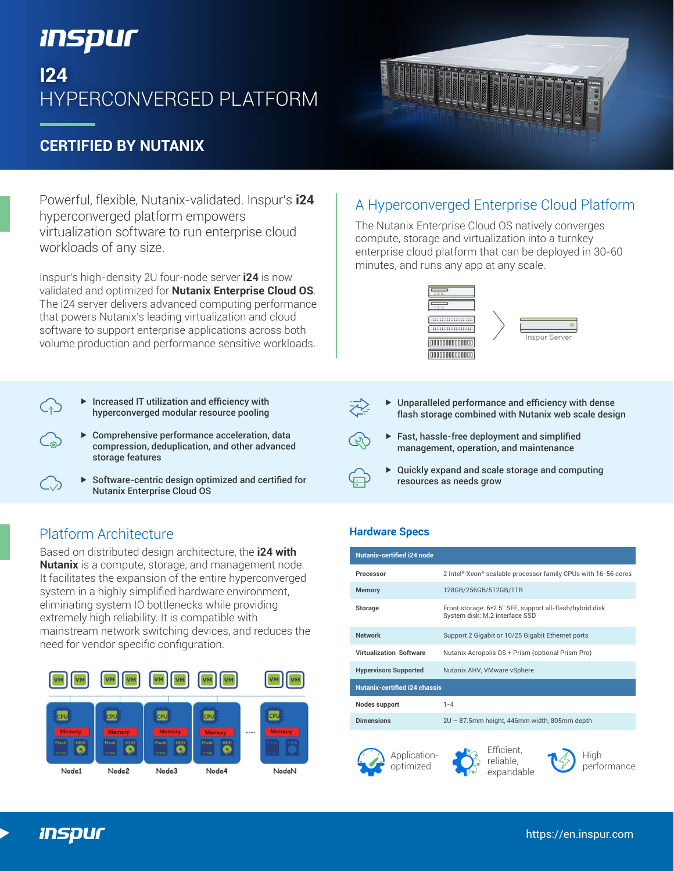# *Inspur*

# **I24** HYPERCONVERGED PLATFORM

## **CERTIFIED BY NUTANIX**

Powerful, flexible, Nutanix-validated. Inspur's **i24** hyperconverged platform empowers virtualization software to run enterprise cloud workloads of any size.

Inspur's high-density 2U four-node server **i24** is now validated and optimized for **Nutanix Enterprise Cloud OS**. The i24 server delivers advanced computing performance that powers Nutanix's leading virtualization and cloud software to support enterprise applications across both volume production and performance sensitive workloads.

- $\blacktriangleright$  Increased IT utilization and efficiency with hyperconverged modular resource pooling
- Comprehensive performance acceleration, data compression, deduplication, and other advanced storage features
- $\triangleright$  Software-centric design optimized and certified for Nutanix Enterprise Cloud OS

## Platform Architecture **Hardware Specs**

Based on distributed design architecture, the **i24 with Nutanix** is a compute, storage, and management node. It facilitates the expansion of the entire hyperconverged system in a highly simplified hardware environment, eliminating system IO bottlenecks while providing extremely high reliability. It is compatible with mainstream network switching devices, and reduces the need for vendor specific configuration.



## A Hyperconverged Enterprise Cloud Platform

The Nutanix Enterprise Cloud OS natively converges compute, storage and virtualization into a turnkey enterprise cloud platform that can be deployed in 30-60 minutes, and runs any app at any scale.





- Unparalleled performance and efficiency with dense flash storage combined with Nutanix web scale design
- Fast, hassle-free deployment and simplified management, operation, and maintenance
- Quickly expand and scale storage and computing resources as needs grow

Applicationoptimized

| <b>Nutanix-certified i24 node</b>    |                                                                                            |
|--------------------------------------|--------------------------------------------------------------------------------------------|
| Processor                            | 2 Intel® Xeon® scalable processor family CPUs with 16-56 cores                             |
| <b>Memory</b>                        | 128GB/256GB/512GB/1TB                                                                      |
| Storage                              | Front storage: 6*2.5" SFF, support all-flash/hybrid disk<br>System disk: M.2 interface SSD |
| <b>Network</b>                       | Support 2 Gigabit or 10/25 Gigabit Ethernet ports                                          |
| <b>Virtualization Software</b>       | Nutanix Acropolis OS + Prism (optional Prism Pro)                                          |
| <b>Hypervisors Supported</b>         | Nutanix AHV, VMware vSphere                                                                |
| <b>Nutanix-certified i24 chassis</b> |                                                                                            |
| Nodes support                        | $1 - 4$                                                                                    |
| <b>Dimensions</b>                    | 2U - 87.5mm height, 446mm width, 805mm depth                                               |
|                                      | Efficient<br>.                                                                             |

reliable, expandable



High performance